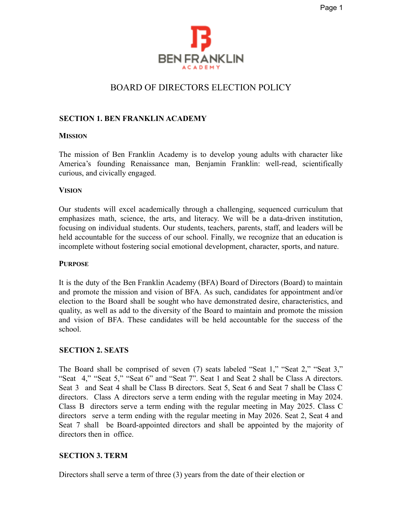# BOARD OF DIRECTORS ELECTION POLICY

### **SECTION 1. BEN FRANKLIN ACADEMY**

#### **MISSION**

The mission of Ben Franklin Academy is to develop young adults with character like America's founding Renaissance man, Benjamin Franklin: well-read, scientifically curious, and civically engaged.

#### **VISION**

Our students will excel academically through a challenging, sequenced curriculum that emphasizes math, science, the arts, and literacy. We will be a data-driven institution, focusing on individual students. Our students, teachers, parents, staff, and leaders will be held accountable for the success of our school. Finally, we recognize that an education is incomplete without fostering social emotional development, character, sports, and nature.

#### **PURPOSE**

It is the duty of the Ben Franklin Academy (BFA) Board of Directors (Board) to maintain and promote the mission and vision of BFA. As such, candidates for appointment and/or election to the Board shall be sought who have demonstrated desire, characteristics, and quality, as well as add to the diversity of the Board to maintain and promote the mission and vision of BFA. These candidates will be held accountable for the success of the school.

### **SECTION 2. SEATS**

The Board shall be comprised of seven (7) seats labeled "Seat 1," "Seat 2," "Seat 3," "Seat 4," "Seat 5," "Seat 6" and "Seat 7". Seat 1 and Seat 2 shall be Class A directors. Seat 3 and Seat 4 shall be Class B directors. Seat 5, Seat 6 and Seat 7 shall be Class C directors. Class A directors serve a term ending with the regular meeting in May 2024. Class B directors serve a term ending with the regular meeting in May 2025. Class C directors serve a term ending with the regular meeting in May 2026. Seat 2, Seat 4 and Seat 7 shall be Board-appointed directors and shall be appointed by the majority of directors then in office.

### **SECTION 3. TERM**

Directors shall serve a term of three (3) years from the date of their election or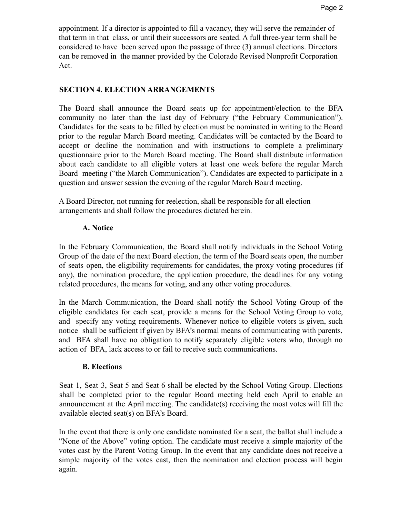appointment. If a director is appointed to fill a vacancy, they will serve the remainder of that term in that class, or until their successors are seated. A full three-year term shall be considered to have been served upon the passage of three (3) annual elections. Directors can be removed in the manner provided by the Colorado Revised Nonprofit Corporation Act.

### **SECTION 4. ELECTION ARRANGEMENTS**

The Board shall announce the Board seats up for appointment/election to the BFA community no later than the last day of February ("the February Communication"). Candidates for the seats to be filled by election must be nominated in writing to the Board prior to the regular March Board meeting. Candidates will be contacted by the Board to accept or decline the nomination and with instructions to complete a preliminary questionnaire prior to the March Board meeting. The Board shall distribute information about each candidate to all eligible voters at least one week before the regular March Board meeting ("the March Communication"). Candidates are expected to participate in a question and answer session the evening of the regular March Board meeting.

A Board Director, not running for reelection, shall be responsible for all election arrangements and shall follow the procedures dictated herein.

## **A. Notice**

In the February Communication, the Board shall notify individuals in the School Voting Group of the date of the next Board election, the term of the Board seats open, the number of seats open, the eligibility requirements for candidates, the proxy voting procedures (if any), the nomination procedure, the application procedure, the deadlines for any voting related procedures, the means for voting, and any other voting procedures.

In the March Communication, the Board shall notify the School Voting Group of the eligible candidates for each seat, provide a means for the School Voting Group to vote, and specify any voting requirements. Whenever notice to eligible voters is given, such notice shall be sufficient if given by BFA's normal means of communicating with parents, and BFA shall have no obligation to notify separately eligible voters who, through no action of BFA, lack access to or fail to receive such communications.

### **B. Elections**

Seat 1, Seat 3, Seat 5 and Seat 6 shall be elected by the School Voting Group. Elections shall be completed prior to the regular Board meeting held each April to enable an announcement at the April meeting. The candidate(s) receiving the most votes will fill the available elected seat(s) on BFA's Board.

In the event that there is only one candidate nominated for a seat, the ballot shall include a "None of the Above" voting option. The candidate must receive a simple majority of the votes cast by the Parent Voting Group. In the event that any candidate does not receive a simple majority of the votes cast, then the nomination and election process will begin again.